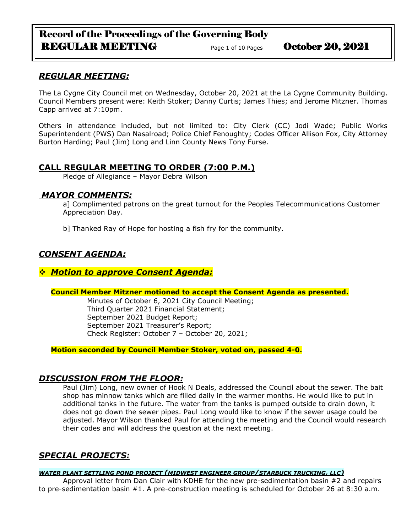# Record of the Proceedings of the Governing Body REGULAR MEETING Page 1 of 10 Pages October 20, 2021

# *REGULAR MEETING:*

The La Cygne City Council met on Wednesday, October 20, 2021 at the La Cygne Community Building. Council Members present were: Keith Stoker; Danny Curtis; James Thies; and Jerome Mitzner. Thomas Capp arrived at 7:10pm.

Others in attendance included, but not limited to: City Clerk (CC) Jodi Wade; Public Works Superintendent (PWS) Dan Nasalroad; Police Chief Fenoughty; Codes Officer Allison Fox, City Attorney Burton Harding; Paul (Jim) Long and Linn County News Tony Furse.

# **CALL REGULAR MEETING TO ORDER (7:00 P.M.)**

Pledge of Allegiance – Mayor Debra Wilson

## *MAYOR COMMENTS:*

a] Complimented patrons on the great turnout for the Peoples Telecommunications Customer Appreciation Day.

b] Thanked Ray of Hope for hosting a fish fry for the community.

# *CONSENT AGENDA:*

### ❖ *Motion to approve Consent Agenda:*

### **Council Member Mitzner motioned to accept the Consent Agenda as presented.**

Minutes of October 6, 2021 City Council Meeting; Third Quarter 2021 Financial Statement; September 2021 Budget Report; September 2021 Treasurer's Report; Check Register: October 7 – October 20, 2021;

**Motion seconded by Council Member Stoker, voted on, passed 4-0.** 

# *DISCUSSION FROM THE FLOOR:*

Paul (Jim) Long, new owner of Hook N Deals, addressed the Council about the sewer. The bait shop has minnow tanks which are filled daily in the warmer months. He would like to put in additional tanks in the future. The water from the tanks is pumped outside to drain down, it does not go down the sewer pipes. Paul Long would like to know if the sewer usage could be adjusted. Mayor Wilson thanked Paul for attending the meeting and the Council would research their codes and will address the question at the next meeting.

# *SPECIAL PROJECTS:*

### *WATER PLANT SETTLING POND PROJECT (MIDWEST ENGINEER GROUP/STARBUCK TRUCKING, LLC)*

Approval letter from Dan Clair with KDHE for the new pre-sedimentation basin #2 and repairs to pre-sedimentation basin #1. A pre-construction meeting is scheduled for October 26 at 8:30 a.m.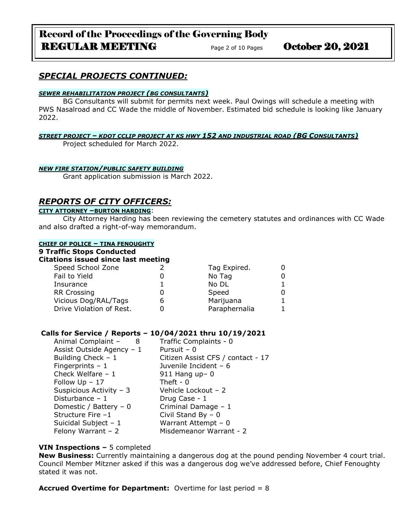# Record of the Proceedings of the Governing Body REGULAR MEETING Page 2 of 10 Pages October 20, 2021

# *SPECIAL PROJECTS CONTINUED:*

#### *SEWER REHABILITATION PROJECT (BG CONSULTANTS)*

BG Consultants will submit for permits next week. Paul Owings will schedule a meeting with PWS Nasalroad and CC Wade the middle of November. Estimated bid schedule is looking like January 2022.

#### *STREET PROJECT – KDOT CCLIP PROJECT AT KS HWY 152 AND INDUSTRIAL ROAD (BG CONSULTANTS)*

Project scheduled for March 2022.

#### *NEW FIRE STATION/PUBLIC SAFETY BUILDING*

Grant application submission is March 2022.

### *REPORTS OF CITY OFFICERS:*

#### **CITY ATTORNEY –BURTON HARDING**:

City Attorney Harding has been reviewing the cemetery statutes and ordinances with CC Wade and also drafted a right-of-way memorandum.

#### **CHIEF OF POLICE – TINA FENOUGHTY**

#### **9 Traffic Stops Conducted**

### **Citations issued since last meeting**

| Speed School Zone        |   | Tag Expired.  |  |
|--------------------------|---|---------------|--|
| Fail to Yield            |   | No Tag        |  |
| Insurance                |   | No DL         |  |
| <b>RR Crossing</b>       |   | Speed         |  |
| Vicious Dog/RAL/Tags     | O | Marijuana     |  |
| Drive Violation of Rest. |   | Paraphernalia |  |

#### **Calls for Service / Reports – 10/04/2021 thru 10/19/2021**

| Animal Complaint -<br>- 8 | Traffic Complaints - 0            |
|---------------------------|-----------------------------------|
| Assist Outside Agency - 1 | Pursuit $-0$                      |
| Building Check $-1$       | Citizen Assist CFS / contact - 17 |
| Fingerprints $-1$         | Juvenile Incident - 6             |
| Check Welfare $-1$        | $911$ Hang up- 0                  |
| Follow $Up - 17$          | Theft - $0$                       |
| Suspicious Activity - 3   | Vehicle Lockout - 2               |
| Disturbance $-1$          | Drug Case - 1                     |
| Domestic / Battery $-0$   | Criminal Damage - 1               |
| Structure Fire -1         | Civil Stand By $-0$               |
| Suicidal Subject $-1$     | Warrant Attempt - 0               |
| Felony Warrant $-2$       | Misdemeanor Warrant - 2           |
|                           |                                   |

#### **VIN Inspections –** 5 completed

**New Business:** Currently maintaining a dangerous dog at the pound pending November 4 court trial. Council Member Mitzner asked if this was a dangerous dog we've addressed before, Chief Fenoughty stated it was not.

**Accrued Overtime for Department:** Overtime for last period = 8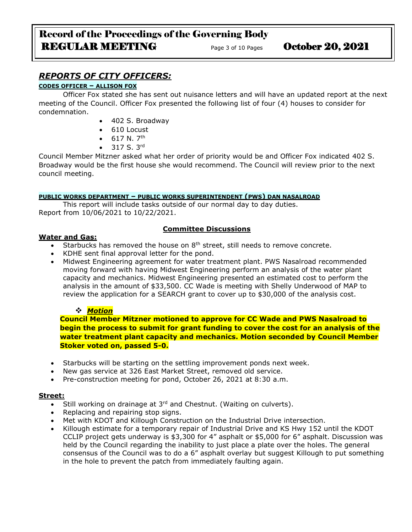# Record of the Proceedings of the Governing Body REGULAR MEETING Page 3 of 10 Pages October 20, 2021

# *REPORTS OF CITY OFFICERS:*

## **CODES OFFICER – ALLISON FOX**

Officer Fox stated she has sent out nuisance letters and will have an updated report at the next meeting of the Council. Officer Fox presented the following list of four (4) houses to consider for condemnation.

- 402 S. Broadway
- 610 Locust
- $617 N. 7<sup>th</sup>$
- $317 S. 3<sup>rd</sup>$

Council Member Mitzner asked what her order of priority would be and Officer Fox indicated 402 S. Broadway would be the first house she would recommend. The Council will review prior to the next council meeting.

### **PUBLIC WORKS DEPARTMENT – PUBLIC WORKS SUPERINTENDENT (PWS) DAN NASALROAD**

This report will include tasks outside of our normal day to day duties. Report from 10/06/2021 to 10/22/2021.

### **Committee Discussions**

### **Water and Gas:**

- Starbucks has removed the house on  $8<sup>th</sup>$  street, still needs to remove concrete.
- KDHE sent final approval letter for the pond.
- Midwest Engineering agreement for water treatment plant. PWS Nasalroad recommended moving forward with having Midwest Engineering perform an analysis of the water plant capacity and mechanics. Midwest Engineering presented an estimated cost to perform the analysis in the amount of \$33,500. CC Wade is meeting with Shelly Underwood of MAP to review the application for a SEARCH grant to cover up to \$30,000 of the analysis cost.

### ❖ *Motion*

**Council Member Mitzner motioned to approve for CC Wade and PWS Nasalroad to begin the process to submit for grant funding to cover the cost for an analysis of the water treatment plant capacity and mechanics. Motion seconded by Council Member Stoker voted on, passed 5-0.**

- Starbucks will be starting on the settling improvement ponds next week.
- New gas service at 326 East Market Street, removed old service.
- Pre-construction meeting for pond, October 26, 2021 at 8:30 a.m.

### **Street:**

- $\overline{\bullet}$  Still working on drainage at 3<sup>rd</sup> and Chestnut. (Waiting on culverts).
- Replacing and repairing stop signs.
- Met with KDOT and Killough Construction on the Industrial Drive intersection.
- Killough estimate for a temporary repair of Industrial Drive and KS Hwy 152 until the KDOT CCLIP project gets underway is \$3,300 for 4" asphalt or \$5,000 for 6" asphalt. Discussion was held by the Council regarding the inability to just place a plate over the holes. The general consensus of the Council was to do a 6" asphalt overlay but suggest Killough to put something in the hole to prevent the patch from immediately faulting again.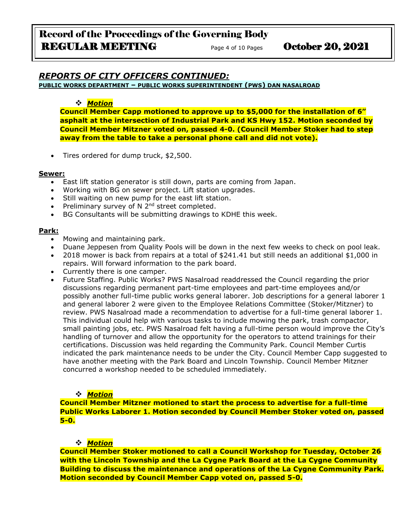# *REPORTS OF CITY OFFICERS CONTINUED:*

**PUBLIC WORKS DEPARTMENT – PUBLIC WORKS SUPERINTENDENT (PWS) DAN NASALROAD**

### ❖ *Motion*

**Council Member Capp motioned to approve up to \$5,000 for the installation of 6" asphalt at the intersection of Industrial Park and KS Hwy 152. Motion seconded by Council Member Mitzner voted on, passed 4-0. (Council Member Stoker had to step away from the table to take a personal phone call and did not vote).**

• Tires ordered for dump truck, \$2,500.

#### **Sewer:**

- East lift station generator is still down, parts are coming from Japan.
- Working with BG on sewer project. Lift station upgrades.
- Still waiting on new pump for the east lift station.
- Preliminary survey of N  $2^{nd}$  street completed.
- BG Consultants will be submitting drawings to KDHE this week.

### **Park:**

- Mowing and maintaining park.
- Duane Jeppesen from Quality Pools will be down in the next few weeks to check on pool leak.
- 2018 mower is back from repairs at a total of \$241.41 but still needs an additional \$1,000 in repairs. Will forward information to the park board.
- Currently there is one camper.
- Future Staffing. Public Works? PWS Nasalroad readdressed the Council regarding the prior discussions regarding permanent part-time employees and part-time employees and/or possibly another full-time public works general laborer. Job descriptions for a general laborer 1 and general laborer 2 were given to the Employee Relations Committee (Stoker/Mitzner) to review. PWS Nasalroad made a recommendation to advertise for a full-time general laborer 1. This individual could help with various tasks to include mowing the park, trash compactor, small painting jobs, etc. PWS Nasalroad felt having a full-time person would improve the City's handling of turnover and allow the opportunity for the operators to attend trainings for their certifications. Discussion was held regarding the Community Park. Council Member Curtis indicated the park maintenance needs to be under the City. Council Member Capp suggested to have another meeting with the Park Board and Lincoln Township. Council Member Mitzner concurred a workshop needed to be scheduled immediately.

### ❖ *Motion*

**Council Member Mitzner motioned to start the process to advertise for a full-time Public Works Laborer 1. Motion seconded by Council Member Stoker voted on, passed 5-0.**

### ❖ *Motion*

**Council Member Stoker motioned to call a Council Workshop for Tuesday, October 26 with the Lincoln Township and the La Cygne Park Board at the La Cygne Community Building to discuss the maintenance and operations of the La Cygne Community Park. Motion seconded by Council Member Capp voted on, passed 5-0.**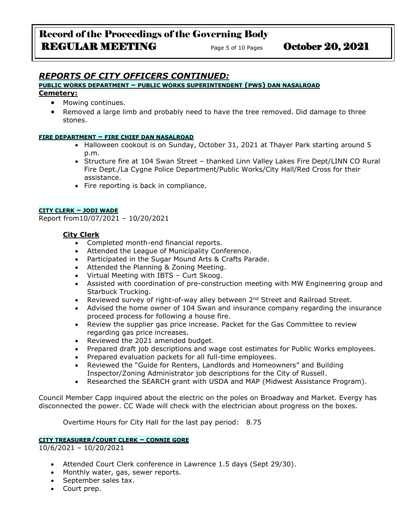# *REPORTS OF CITY OFFICERS CONTINUED:*

#### **PUBLIC WORKS DEPARTMENT – PUBLIC WORKS SUPERINTENDENT (PWS) DAN NASALROAD**

#### **Cemetery:**

- Mowing continues.
- Removed a large limb and probably need to have the tree removed. Did damage to three stones.

#### **FIRE DEPARTMENT – FIRE CHIEF DAN NASALROAD**

- Halloween cookout is on Sunday, October 31, 2021 at Thayer Park starting around 5 p.m.
- Structure fire at 104 Swan Street thanked Linn Valley Lakes Fire Dept/LINN CO Rural Fire Dept./La Cygne Police Department/Public Works/City Hall/Red Cross for their assistance.
- Fire reporting is back in compliance.

#### **CITY CLERK – JODI WADE**

Report from10/07/2021 – 10/20/2021

### **City Clerk**

- Completed month-end financial reports.
- Attended the League of Municipality Conference.
- Participated in the Sugar Mound Arts & Crafts Parade.
- Attended the Planning & Zoning Meeting.
- Virtual Meeting with IBTS Curt Skoog.
- Assisted with coordination of pre-construction meeting with MW Engineering group and Starbuck Trucking.
- Reviewed survey of right-of-way alley between  $2^{nd}$  Street and Railroad Street.
- Advised the home owner of 104 Swan and insurance company regarding the insurance proceed process for following a house fire.
- Review the supplier gas price increase. Packet for the Gas Committee to review regarding gas price increases.
- Reviewed the 2021 amended budget.
- Prepared draft job descriptions and wage cost estimates for Public Works employees.
- Prepared evaluation packets for all full-time employees.
- Reviewed the "Guide for Renters, Landlords and Homeowners" and Building Inspector/Zoning Administrator job descriptions for the City of Russell.
- Researched the SEARCH grant with USDA and MAP (Midwest Assistance Program).

Council Member Capp inquired about the electric on the poles on Broadway and Market. Evergy has disconnected the power. CC Wade will check with the electrician about progress on the boxes.

Overtime Hours for City Hall for the last pay period: 8.75

### **CITY TREASURER/COURT CLERK – CONNIE GORE**

10/6/2021 – 10/20/2021

- Attended Court Clerk conference in Lawrence 1.5 days (Sept 29/30).
- Monthly water, gas, sewer reports.
- September sales tax.
- Court prep.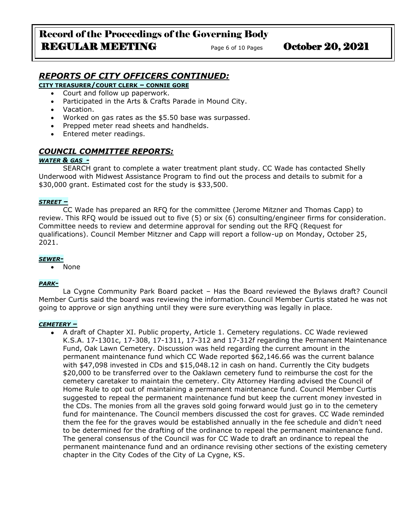# *REPORTS OF CITY OFFICERS CONTINUED:*

**CITY TREASURER/COURT CLERK – CONNIE GORE**

- Court and follow up paperwork.
- Participated in the Arts & Crafts Parade in Mound City.
- Vacation.
- Worked on gas rates as the \$5.50 base was surpassed.
- Prepped meter read sheets and handhelds.
- Entered meter readings.

### *COUNCIL COMMITTEE REPORTS:*

#### *WATER & GAS -*

SEARCH grant to complete a water treatment plant study. CC Wade has contacted Shelly Underwood with Midwest Assistance Program to find out the process and details to submit for a \$30,000 grant. Estimated cost for the study is \$33,500.

#### *STREET –*

CC Wade has prepared an RFQ for the committee (Jerome Mitzner and Thomas Capp) to review. This RFQ would be issued out to five (5) or six (6) consulting/engineer firms for consideration. Committee needs to review and determine approval for sending out the RFQ (Request for qualifications). Council Member Mitzner and Capp will report a follow-up on Monday, October 25, 2021.

#### *SEWER-*

• None

#### *PARK-*

La Cygne Community Park Board packet – Has the Board reviewed the Bylaws draft? Council Member Curtis said the board was reviewing the information. Council Member Curtis stated he was not going to approve or sign anything until they were sure everything was legally in place.

#### *CEMETERY –*

• A draft of Chapter XI. Public property, Article 1. Cemetery regulations. CC Wade reviewed K.S.A. 17-1301c, 17-308, 17-1311, 17-312 and 17-312f regarding the Permanent Maintenance Fund, Oak Lawn Cemetery. Discussion was held regarding the current amount in the permanent maintenance fund which CC Wade reported \$62,146.66 was the current balance with \$47,098 invested in CDs and \$15,048.12 in cash on hand. Currently the City budgets \$20,000 to be transferred over to the Oaklawn cemetery fund to reimburse the cost for the cemetery caretaker to maintain the cemetery. City Attorney Harding advised the Council of Home Rule to opt out of maintaining a permanent maintenance fund. Council Member Curtis suggested to repeal the permanent maintenance fund but keep the current money invested in the CDs. The monies from all the graves sold going forward would just go in to the cemetery fund for maintenance. The Council members discussed the cost for graves. CC Wade reminded them the fee for the graves would be established annually in the fee schedule and didn't need to be determined for the drafting of the ordinance to repeal the permanent maintenance fund. The general consensus of the Council was for CC Wade to draft an ordinance to repeal the permanent maintenance fund and an ordinance revising other sections of the existing cemetery chapter in the City Codes of the City of La Cygne, KS.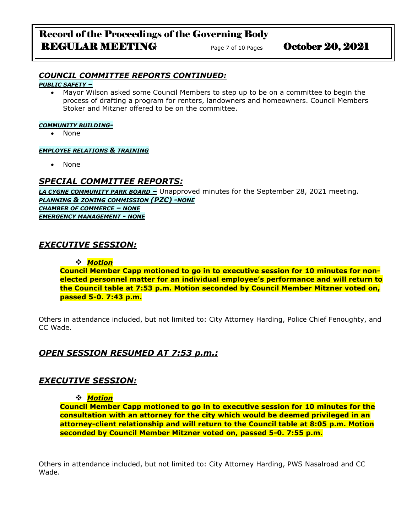# Record of the Proceedings of the Governing Body REGULAR MEETING Page 7 of 10 Pages October 20, 2021

## *COUNCIL COMMITTEE REPORTS CONTINUED:*

*PUBLIC SAFETY –*

• Mayor Wilson asked some Council Members to step up to be on a committee to begin the process of drafting a program for renters, landowners and homeowners. Council Members Stoker and Mitzner offered to be on the committee.

#### *COMMUNITY BUILDING-*

• None

#### *EMPLOYEE RELATIONS & TRAINING*

• None

# *SPECIAL COMMITTEE REPORTS:*

*LA CYGNE COMMUNITY PARK BOARD –* Unapproved minutes for the September 28, 2021 meeting. *PLANNING & ZONING COMMISSION (PZC) -NONE CHAMBER OF COMMERCE – NONE EMERGENCY MANAGEMENT - NONE*

# *EXECUTIVE SESSION:*

### ❖ *Motion*

**Council Member Capp motioned to go in to executive session for 10 minutes for nonelected personnel matter for an individual employee's performance and will return to the Council table at 7:53 p.m. Motion seconded by Council Member Mitzner voted on, passed 5-0. 7:43 p.m.**

Others in attendance included, but not limited to: City Attorney Harding, Police Chief Fenoughty, and CC Wade.

# *OPEN SESSION RESUMED AT 7:53 p.m.:*

# *EXECUTIVE SESSION:*

### ❖ *Motion*

**Council Member Capp motioned to go in to executive session for 10 minutes for the consultation with an attorney for the city which would be deemed privileged in an attorney-client relationship and will return to the Council table at 8:05 p.m. Motion seconded by Council Member Mitzner voted on, passed 5-0. 7:55 p.m.**

Others in attendance included, but not limited to: City Attorney Harding, PWS Nasalroad and CC Wade.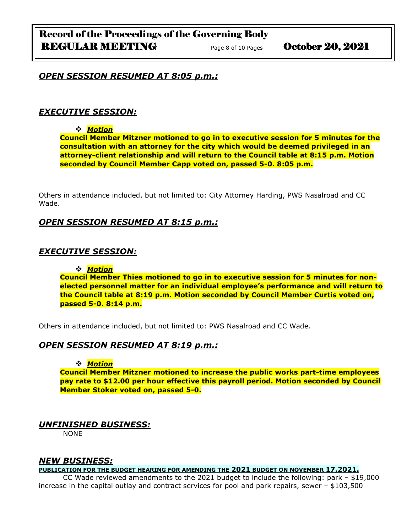### *OPEN SESSION RESUMED AT 8:05 p.m.:*

### *EXECUTIVE SESSION:*

### ❖ *Motion*

**Council Member Mitzner motioned to go in to executive session for 5 minutes for the consultation with an attorney for the city which would be deemed privileged in an attorney-client relationship and will return to the Council table at 8:15 p.m. Motion seconded by Council Member Capp voted on, passed 5-0. 8:05 p.m.**

Others in attendance included, but not limited to: City Attorney Harding, PWS Nasalroad and CC Wade.

### *OPEN SESSION RESUMED AT 8:15 p.m.:*

### *EXECUTIVE SESSION:*

❖ *Motion* 

**Council Member Thies motioned to go in to executive session for 5 minutes for nonelected personnel matter for an individual employee's performance and will return to the Council table at 8:19 p.m. Motion seconded by Council Member Curtis voted on, passed 5-0. 8:14 p.m.**

Others in attendance included, but not limited to: PWS Nasalroad and CC Wade.

## *OPEN SESSION RESUMED AT 8:19 p.m.:*

#### ❖ *Motion*

**Council Member Mitzner motioned to increase the public works part-time employees pay rate to \$12.00 per hour effective this payroll period. Motion seconded by Council Member Stoker voted on, passed 5-0.**

### *UNFINISHED BUSINESS:*

NONE

### *NEW BUSINESS:*

**PUBLICATION FOR THE BUDGET HEARING FOR AMENDING THE 2021 BUDGET ON NOVEMBER 17,2021.**

CC Wade reviewed amendments to the 2021 budget to include the following: park – \$19,000 increase in the capital outlay and contract services for pool and park repairs, sewer – \$103,500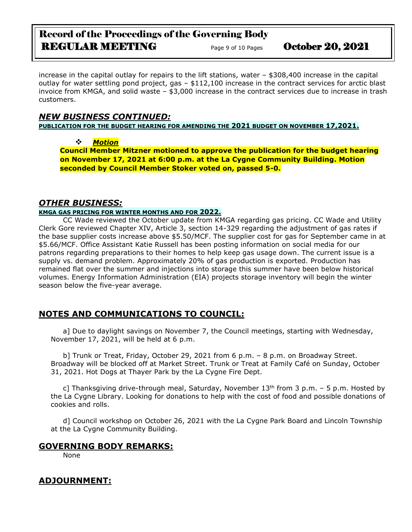# Record of the Proceedings of the Governing Body REGULAR MEETING Page 9 of 10 Pages October 20, 2021

increase in the capital outlay for repairs to the lift stations, water – \$308,400 increase in the capital outlay for water settling pond project, gas – \$112,100 increase in the contract services for arctic blast invoice from KMGA, and solid waste – \$3,000 increase in the contract services due to increase in trash customers.

# *NEW BUSINESS CONTINUED:*

**PUBLICATION FOR THE BUDGET HEARING FOR AMENDING THE 2021 BUDGET ON NOVEMBER 17,2021.**

❖ *Motion* 

**Council Member Mitzner motioned to approve the publication for the budget hearing on November 17, 2021 at 6:00 p.m. at the La Cygne Community Building. Motion seconded by Council Member Stoker voted on, passed 5-0.**

# *OTHER BUSINESS:*

### **KMGA GAS PRICING FOR WINTER MONTHS AND FOR 2022.**

CC Wade reviewed the October update from KMGA regarding gas pricing. CC Wade and Utility Clerk Gore reviewed Chapter XIV, Article 3, section 14-329 regarding the adjustment of gas rates if the base supplier costs increase above \$5.50/MCF. The supplier cost for gas for September came in at \$5.66/MCF. Office Assistant Katie Russell has been posting information on social media for our patrons regarding preparations to their homes to help keep gas usage down. The current issue is a supply vs. demand problem. Approximately 20% of gas production is exported. Production has remained flat over the summer and injections into storage this summer have been below historical volumes. Energy Information Administration (EIA) projects storage inventory will begin the winter season below the five-year average.

# **NOTES AND COMMUNICATIONS TO COUNCIL:**

a] Due to daylight savings on November 7, the Council meetings, starting with Wednesday, November 17, 2021, will be held at 6 p.m.

b] Trunk or Treat, Friday, October 29, 2021 from 6 p.m. – 8 p.m. on Broadway Street. Broadway will be blocked off at Market Street. Trunk or Treat at Family Café on Sunday, October 31, 2021. Hot Dogs at Thayer Park by the La Cygne Fire Dept.

c] Thanksgiving drive-through meal, Saturday, November  $13<sup>th</sup>$  from 3 p.m. – 5 p.m. Hosted by the La Cygne Library. Looking for donations to help with the cost of food and possible donations of cookies and rolls.

d] Council workshop on October 26, 2021 with the La Cygne Park Board and Lincoln Township at the La Cygne Community Building.

# **GOVERNING BODY REMARKS:**

None

# **ADJOURNMENT:**